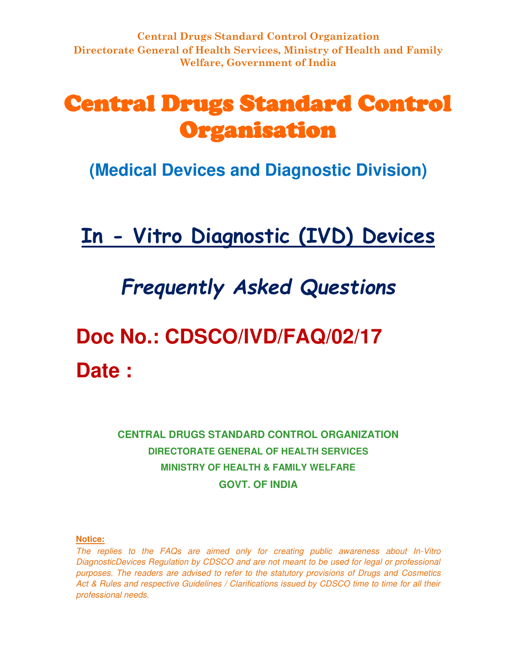## Central Drugs Standard Control Organisation

**(Medical Devices and Diagnostic Division)**

## **In - Vitro Diagnostic (IVD) Devices**

## *Frequently Asked Questions*

# **Doc No.: CDSCO/IVD/FAQ/02/17 Date :**

**CENTRAL DRUGS STANDARD CONTROL ORGANIZATION DIRECTORATE GENERAL OF HEALTH SERVICES MINISTRY OF HEALTH & FAMILY WELFARE GOVT. OF INDIA**

#### **Notice:**

*The replies to the FAQs are aimed only for creating public awareness about In-Vitro DiagnosticDevices Regulation by CDSCO and are not meant to be used for legal or professional purposes. The readers are advised to refer to the statutory provisions of Drugs and Cosmetics Act & Rules and respective Guidelines / Clarifications issued by CDSCO time to time for all their professional needs.*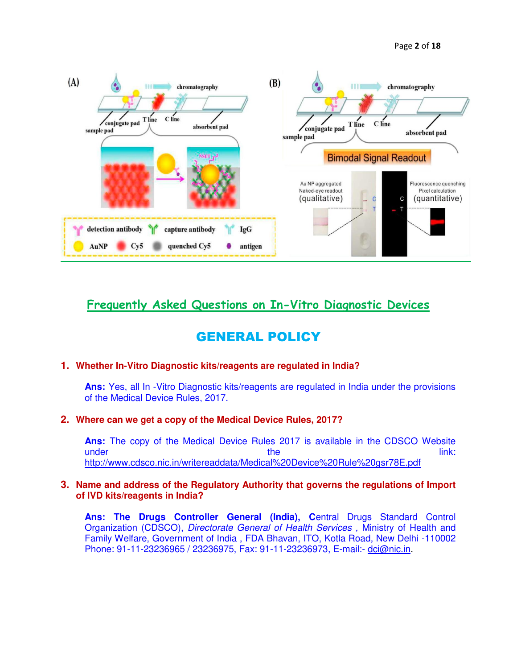Page **2** of **18**



### **Frequently Asked Questions on In-Vitro Diagnostic Devices**

## GENERAL POLICY

#### **1. Whether In-Vitro Diagnostic kits/reagents are regulated in India?**

**Ans:** Yes, all In -Vitro Diagnostic kits/reagents are regulated in India under the provisions of the Medical Device Rules, 2017.

#### **2. Where can we get a copy of the Medical Device Rules, 2017?**

**Ans:** The copy of the Medical Device Rules 2017 is available in the CDSCO Website under the link: <http://www.cdsco.nic.in/writereaddata/Medical%20Device%20Rule%20gsr78E.pdf>

#### **3. Name and address of the Regulatory Authority that governs the regulations of Import of IVD kits/reagents in India?**

**Ans: The Drugs Controller General (India), C**entral Drugs Standard Control Organization (CDSCO), *Directorate General of Health Services ,* Ministry of Health and Family Welfare, Government of India , FDA Bhavan, ITO, Kotla Road, New Delhi -110002 Phone: 91-11-23236965 / 23236975, Fax: 91-11-23236973, E-mail:- [dci@nic.in.](mailto:dci@nic.in)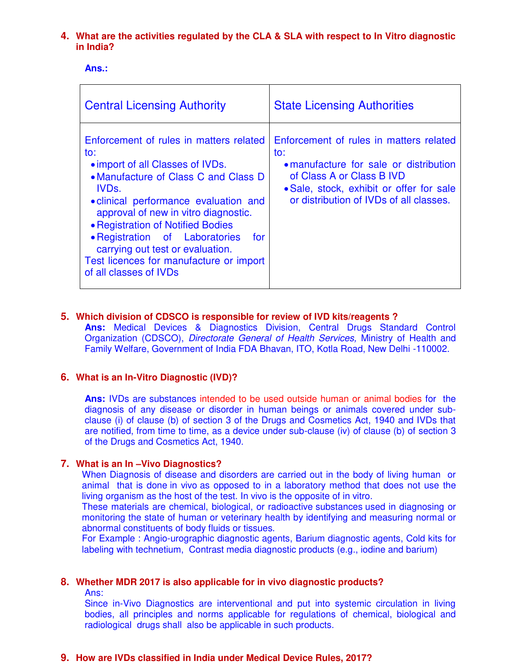#### **4. What are the activities regulated by the CLA & SLA with respect to In Vitro diagnostic in India?**

**Ans.:** 

| <b>Central Licensing Authority</b>                                                                                                                                                                                                                                                                                                                                                                                       | <b>State Licensing Authorities</b>                                                                                                                                                                           |
|--------------------------------------------------------------------------------------------------------------------------------------------------------------------------------------------------------------------------------------------------------------------------------------------------------------------------------------------------------------------------------------------------------------------------|--------------------------------------------------------------------------------------------------------------------------------------------------------------------------------------------------------------|
| Enforcement of rules in matters related<br>to:<br>• import of all Classes of IVDs.<br>• Manufacture of Class C and Class D<br>IVD <sub>s</sub> .<br>• clinical performance evaluation and<br>approval of new in vitro diagnostic.<br>• Registration of Notified Bodies<br>• Registration of Laboratories<br>for<br>carrying out test or evaluation.<br>Test licences for manufacture or import<br>of all classes of IVDs | Enforcement of rules in matters related<br>to:<br>• manufacture for sale or distribution<br>of Class A or Class B IVD<br>• Sale, stock, exhibit or offer for sale<br>or distribution of IVDs of all classes. |

#### **5. Which division of CDSCO is responsible for review of IVD kits/reagents ?**

**Ans:** Medical Devices & Diagnostics Division, Central Drugs Standard Control Organization (CDSCO), *Directorate General of Health Services,* Ministry of Health and Family Welfare, Government of India FDA Bhavan, ITO, Kotla Road, New Delhi -110002.

#### **6. What is an In-Vitro Diagnostic (IVD)?**

**Ans:** IVDs are substances intended to be used outside human or animal bodies for the diagnosis of any disease or disorder in human beings or animals covered under subclause (i) of clause (b) of section 3 of the Drugs and Cosmetics Act, 1940 and IVDs that are notified, from time to time, as a device under sub-clause (iv) of clause (b) of section 3 of the Drugs and Cosmetics Act, 1940.

#### **7. What is an In –Vivo Diagnostics?**

When Diagnosis of disease and disorders are carried out in the body of living human or animal that is done in vivo as opposed to in a laboratory method that does not use the living organism as the host of the test. In vivo is the opposite of in vitro.

These materials are chemical, biological, or radioactive substances used in diagnosing or monitoring the state of human or veterinary health by identifying and measuring normal or abnormal constituents of body fluids or tissues.

For Example : Angio-urographic diagnostic agents, Barium diagnostic agents, Cold kits for labeling with technetium, Contrast media diagnostic products (e.g., iodine and barium)

#### **8. Whether MDR 2017 is also applicable for in vivo diagnostic products?**

Ans:

Since in-Vivo Diagnostics are interventional and put into systemic circulation in living bodies, all principles and norms applicable for regulations of chemical, biological and radiological drugs shall also be applicable in such products.

#### **9. How are IVDs classified in India under Medical Device Rules, 2017?**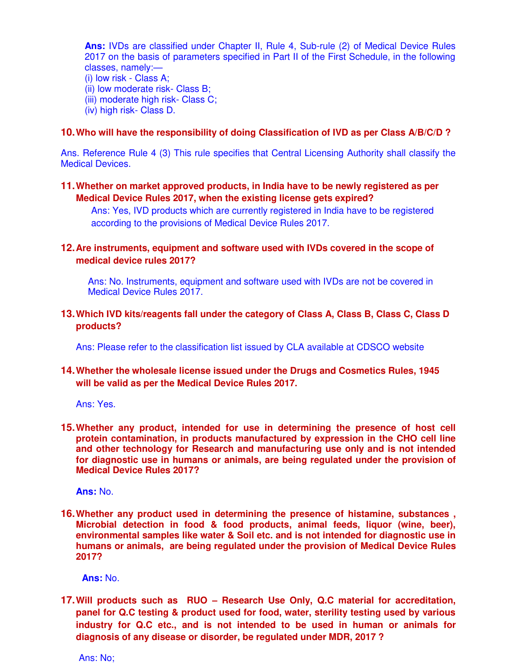**Ans:** IVDs are classified under Chapter II, Rule 4, Sub-rule (2) of Medical Device Rules 2017 on the basis of parameters specified in Part II of the First Schedule, in the following classes, namely:— (i) low risk - Class A; (ii) low moderate risk- Class B; (iii) moderate high risk- Class C; (iv) high risk- Class D.

#### **10.Who will have the responsibility of doing Classification of IVD as per Class A/B/C/D ?**

Ans. Reference Rule 4 (3) This rule specifies that Central Licensing Authority shall classify the Medical Devices.

**11.Whether on market approved products, in India have to be newly registered as per Medical Device Rules 2017, when the existing license gets expired?**

Ans: Yes, IVD products which are currently registered in India have to be registered according to the provisions of Medical Device Rules 2017.

#### **12.Are instruments, equipment and software used with IVDs covered in the scope of medical device rules 2017?**

Ans: No. Instruments, equipment and software used with IVDs are not be covered in Medical Device Rules 2017.

#### **13.Which IVD kits/reagents fall under the category of Class A, Class B, Class C, Class D products?**

Ans: Please refer to the classification list issued by CLA available at CDSCO website

#### **14.Whether the wholesale license issued under the Drugs and Cosmetics Rules, 1945 will be valid as per the Medical Device Rules 2017.**

Ans: Yes.

**15.Whether any product, intended for use in determining the presence of host cell protein contamination, in products manufactured by expression in the CHO cell line and other technology for Research and manufacturing use only and is not intended for diagnostic use in humans or animals, are being regulated under the provision of Medical Device Rules 2017?** 

**Ans:** No.

**16.Whether any product used in determining the presence of histamine, substances , Microbial detection in food & food products, animal feeds, liquor (wine, beer), environmental samples like water & Soil etc. and is not intended for diagnostic use in humans or animals, are being regulated under the provision of Medical Device Rules 2017?**

**Ans:** No.

**17.Will products such as RUO – Research Use Only, Q.C material for accreditation, panel for Q.C testing & product used for food, water, sterility testing used by various industry for Q.C etc., and is not intended to be used in human or animals for diagnosis of any disease or disorder, be regulated under MDR, 2017 ?** 

Ans: No;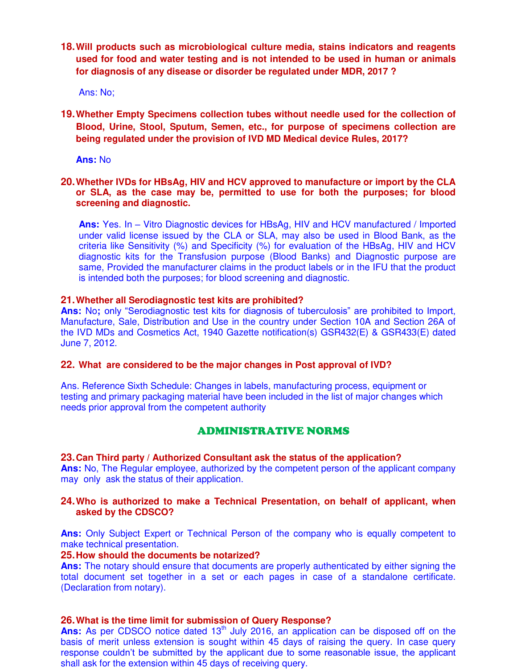**18.Will products such as microbiological culture media, stains indicators and reagents used for food and water testing and is not intended to be used in human or animals for diagnosis of any disease or disorder be regulated under MDR, 2017 ?**

Ans: No;

**19.Whether Empty Specimens collection tubes without needle used for the collection of Blood, Urine, Stool, Sputum, Semen, etc., for purpose of specimens collection are being regulated under the provision of IVD MD Medical device Rules, 2017?** 

**Ans:** No

**20.Whether IVDs for HBsAg, HIV and HCV approved to manufacture or import by the CLA or SLA, as the case may be, permitted to use for both the purposes; for blood screening and diagnostic.** 

**Ans:** Yes. In – Vitro Diagnostic devices for HBsAg, HIV and HCV manufactured / Imported under valid license issued by the CLA or SLA, may also be used in Blood Bank, as the criteria like Sensitivity (%) and Specificity (%) for evaluation of the HBsAg, HIV and HCV diagnostic kits for the Transfusion purpose (Blood Banks) and Diagnostic purpose are same, Provided the manufacturer claims in the product labels or in the IFU that the product is intended both the purposes; for blood screening and diagnostic.

#### **21.Whether all Serodiagnostic test kits are prohibited?**

Ans: No; only "Serodiagnostic test kits for diagnosis of tuberculosis" are prohibited to Import, Manufacture, Sale, Distribution and Use in the country under Section 10A and Section 26A of the IVD MDs and Cosmetics Act, 1940 Gazette notification(s) GSR432(E) & GSR433(E) dated June 7, 2012.

#### **22. What are considered to be the major changes in Post approval of IVD?**

Ans. Reference Sixth Schedule: Changes in labels, manufacturing process, equipment or testing and primary packaging material have been included in the list of major changes which needs prior approval from the competent authority

#### ADMINISTRATIVE NORMS

#### **23.Can Third party / Authorized Consultant ask the status of the application?**

**Ans:** No, The Regular employee, authorized by the competent person of the applicant company may only ask the status of their application.

#### **24.Who is authorized to make a Technical Presentation, on behalf of applicant, when asked by the CDSCO?**

**Ans:** Only Subject Expert or Technical Person of the company who is equally competent to make technical presentation.

#### **25.How should the documents be notarized?**

**Ans:** The notary should ensure that documents are properly authenticated by either signing the total document set together in a set or each pages in case of a standalone certificate. (Declaration from notary).

#### **26.What is the time limit for submission of Query Response?**

Ans: As per CDSCO notice dated 13<sup>th</sup> July 2016, an application can be disposed off on the basis of merit unless extension is sought within 45 days of raising the query. In case query response couldn't be submitted by the applicant due to some reasonable issue, the applicant shall ask for the extension within 45 days of receiving query.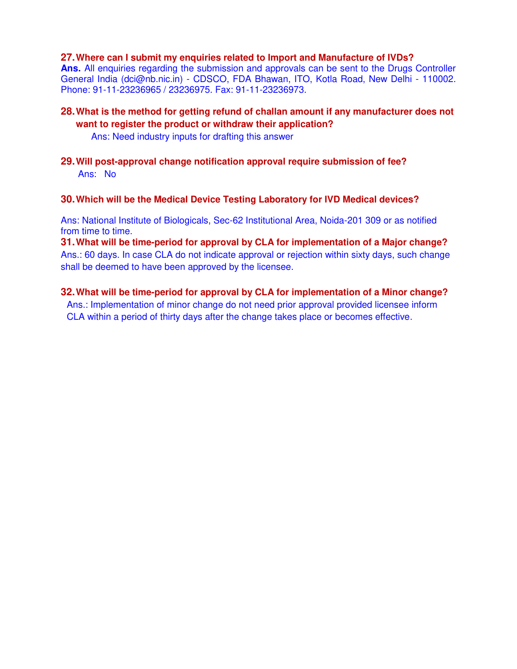#### **27.Where can I submit my enquiries related to Import and Manufacture of IVDs?**

**Ans.** All enquiries regarding the submission and approvals can be sent to the Drugs Controller General India (dci@nb.nic.in) - CDSCO, FDA Bhawan, ITO, Kotla Road, New Delhi - 110002. Phone: 91-11-23236965 / 23236975. Fax: 91-11-23236973.

**28.What is the method for getting refund of challan amount if any manufacturer does not want to register the product or withdraw their application?** 

Ans: Need industry inputs for drafting this answer

**29.Will post-approval change notification approval require submission of fee?**  Ans: No

#### **30.Which will be the Medical Device Testing Laboratory for IVD Medical devices?**

Ans: National Institute of Biologicals, Sec-62 Institutional Area, Noida-201 309 or as notified from time to time.

**31.What will be time-period for approval by CLA for implementation of a Major change?**  Ans.: 60 days. In case CLA do not indicate approval or rejection within sixty days, such change shall be deemed to have been approved by the licensee.

## **32.What will be time-period for approval by CLA for implementation of a Minor change?**

Ans.: Implementation of minor change do not need prior approval provided licensee inform CLA within a period of thirty days after the change takes place or becomes effective.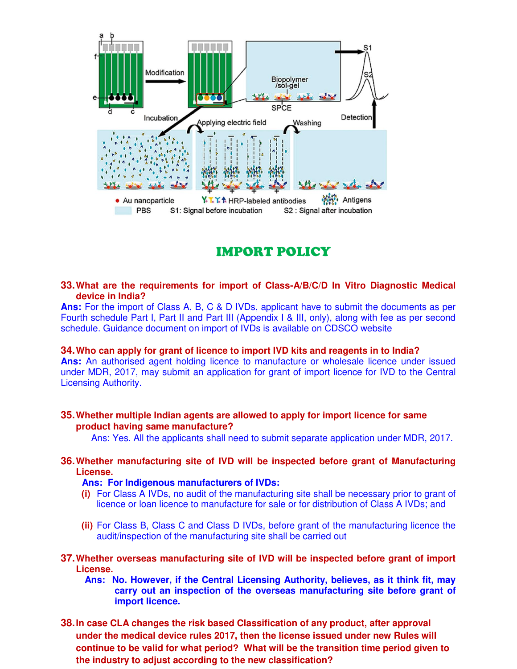

## IMPORT POLICY

#### **33.What are the requirements for import of Class-A/B/C/D In Vitro Diagnostic Medical device in India?**

**Ans:** For the import of Class A, B, C & D IVDs, applicant have to submit the documents as per Fourth schedule Part I, Part II and Part III (Appendix I & III, only), along with fee as per second schedule. Guidance document on import of IVDs is available on CDSCO website

#### **34.Who can apply for grant of licence to import IVD kits and reagents in to India?**

**Ans:** An authorised agent holding licence to manufacture or wholesale licence under issued under MDR, 2017, may submit an application for grant of import licence for IVD to the Central Licensing Authority.

#### **35.Whether multiple Indian agents are allowed to apply for import licence for same product having same manufacture?**

Ans: Yes. All the applicants shall need to submit separate application under MDR, 2017.

#### **36.Whether manufacturing site of IVD will be inspected before grant of Manufacturing License.**

#### **Ans: For Indigenous manufacturers of IVDs:**

- **(i)** For Class A IVDs, no audit of the manufacturing site shall be necessary prior to grant of licence or loan licence to manufacture for sale or for distribution of Class A IVDs; and
- **(ii)** For Class B, Class C and Class D IVDs, before grant of the manufacturing licence the audit/inspection of the manufacturing site shall be carried out
- **37.Whether overseas manufacturing site of IVD will be inspected before grant of import License.**
	- **Ans: No. However, if the Central Licensing Authority, believes, as it think fit, may carry out an inspection of the overseas manufacturing site before grant of import licence.**
- **38.In case CLA changes the risk based Classification of any product, after approval under the medical device rules 2017, then the license issued under new Rules will continue to be valid for what period? What will be the transition time period given to the industry to adjust according to the new classification?**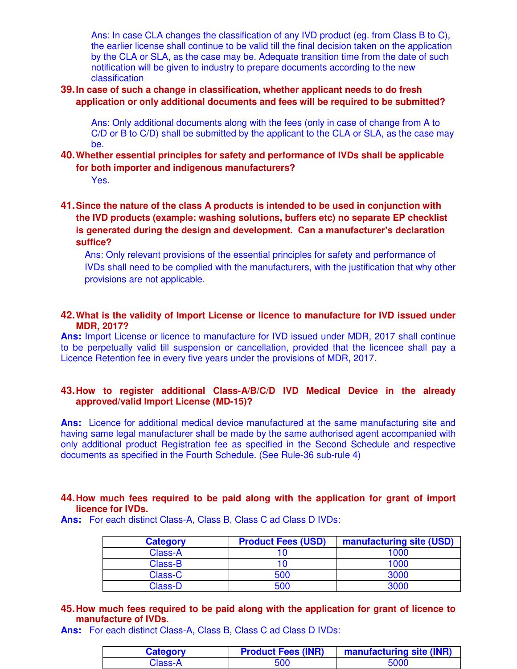Ans: In case CLA changes the classification of any IVD product (eg. from Class B to C), the earlier license shall continue to be valid till the final decision taken on the application by the CLA or SLA, as the case may be. Adequate transition time from the date of such notification will be given to industry to prepare documents according to the new classification

#### **39.In case of such a change in classification, whether applicant needs to do fresh application or only additional documents and fees will be required to be submitted?**

Ans: Only additional documents along with the fees (only in case of change from A to C/D or B to C/D) shall be submitted by the applicant to the CLA or SLA, as the case may be.

#### **40.Whether essential principles for safety and performance of IVDs shall be applicable for both importer and indigenous manufacturers?**

Yes.

#### **41.Since the nature of the class A products is intended to be used in conjunction with the IVD products (example: washing solutions, buffers etc) no separate EP checklist is generated during the design and development. Can a manufacturer"s declaration suffice?**

Ans: Only relevant provisions of the essential principles for safety and performance of IVDs shall need to be complied with the manufacturers, with the justification that why other provisions are not applicable.

#### **42.What is the validity of Import License or licence to manufacture for IVD issued under MDR, 2017?**

**Ans:** Import License or licence to manufacture for IVD issued under MDR, 2017 shall continue to be perpetually valid till suspension or cancellation, provided that the licencee shall pay a Licence Retention fee in every five years under the provisions of MDR, 2017.

#### **43.How to register additional Class-A/B/C/D IVD Medical Device in the already approved/valid Import License (MD-15)?**

Ans: Licence for additional medical device manufactured at the same manufacturing site and having same legal manufacturer shall be made by the same authorised agent accompanied with only additional product Registration fee as specified in the Second Schedule and respective documents as specified in the Fourth Schedule. (See Rule-36 sub-rule 4)

#### **44.How much fees required to be paid along with the application for grant of import licence for IVDs.**

**Ans:** For each distinct Class-A, Class B, Class C ad Class D IVDs:

| <b>Category</b> | <b>Product Fees (USD)</b> | manufacturing site (USD) |
|-----------------|---------------------------|--------------------------|
| Class-A         |                           | 1000                     |
| Class-B         |                           | 1000                     |
| Class-C         | 500                       | 3000                     |
| Class-D         | 500                       | 3000                     |

#### **45.How much fees required to be paid along with the application for grant of licence to manufacture of IVDs.**

**Ans:** For each distinct Class-A, Class B, Class C ad Class D IVDs:

| <b>Category</b> | <b>Product Fees (INR)</b> | manufacturing site (INR) |
|-----------------|---------------------------|--------------------------|
| Class-A         | 500                       | 5000                     |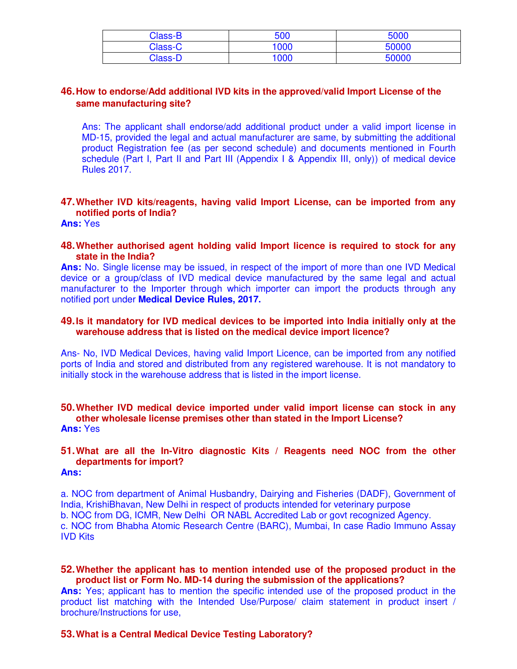| <b>Class-B</b> | 500  | 5000  |
|----------------|------|-------|
| Class-C        | 1000 | 50000 |
| Class-D        | 1000 | 50000 |

#### **46.How to endorse/Add additional IVD kits in the approved/valid Import License of the same manufacturing site?**

Ans: The applicant shall endorse/add additional product under a valid import license in MD-15, provided the legal and actual manufacturer are same, by submitting the additional product Registration fee (as per second schedule) and documents mentioned in Fourth schedule (Part I, Part II and Part III (Appendix I & Appendix III, only)) of medical device Rules 2017.

#### **47.Whether IVD kits/reagents, having valid Import License, can be imported from any notified ports of India?**

**Ans:** Yes

#### **48.Whether authorised agent holding valid Import licence is required to stock for any state in the India?**

**Ans:** No. Single license may be issued, in respect of the import of more than one IVD Medical device or a group/class of IVD medical device manufactured by the same legal and actual manufacturer to the Importer through which importer can import the products through any notified port under **Medical Device Rules, 2017.** 

#### **49.Is it mandatory for IVD medical devices to be imported into India initially only at the warehouse address that is listed on the medical device import licence?**

Ans- No, IVD Medical Devices, having valid Import Licence, can be imported from any notified ports of India and stored and distributed from any registered warehouse. It is not mandatory to initially stock in the warehouse address that is listed in the import license.

#### **50.Whether IVD medical device imported under valid import license can stock in any other wholesale license premises other than stated in the Import License? Ans:** Yes

#### **51.What are all the In-Vitro diagnostic Kits / Reagents need NOC from the other departments for import? Ans:**

a. NOC from department of Animal Husbandry, Dairying and Fisheries (DADF), Government of India, KrishiBhavan, New Delhi in respect of products intended for veterinary purpose b. NOC from DG, ICMR, New Delhi OR NABL Accredited Lab or govt recognized Agency. c. NOC from Bhabha Atomic Research Centre (BARC), Mumbai, In case Radio Immuno Assay IVD Kits

#### **52.Whether the applicant has to mention intended use of the proposed product in the product list or Form No. MD-14 during the submission of the applications?**

Ans: Yes; applicant has to mention the specific intended use of the proposed product in the product list matching with the Intended Use/Purpose/ claim statement in product insert / brochure/Instructions for use,

#### **53.What is a Central Medical Device Testing Laboratory?**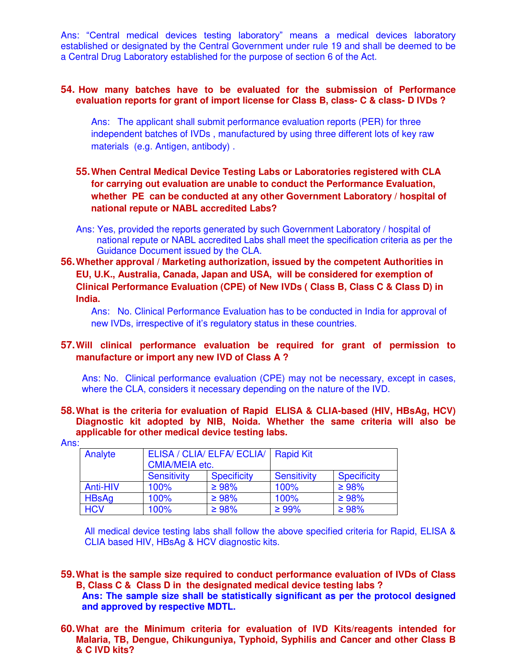Ans: "Central medical devices testing laboratory" means a medical devices laboratory established or designated by the Central Government under rule 19 and shall be deemed to be a Central Drug Laboratory established for the purpose of section 6 of the Act.

#### **54. How many batches have to be evaluated for the submission of Performance evaluation reports for grant of import license for Class B, class- C & class- D IVDs ?**

Ans: The applicant shall submit performance evaluation reports (PER) for three independent batches of IVDs , manufactured by using three different lots of key raw materials (e.g. Antigen, antibody) .

#### **55.When Central Medical Device Testing Labs or Laboratories registered with CLA for carrying out evaluation are unable to conduct the Performance Evaluation, whether PE can be conducted at any other Government Laboratory / hospital of national repute or NABL accredited Labs?**

- Ans: Yes, provided the reports generated by such Government Laboratory / hospital of national repute or NABL accredited Labs shall meet the specification criteria as per the Guidance Document issued by the CLA.
- **56.Whether approval / Marketing authorization, issued by the competent Authorities in EU, U.K., Australia, Canada, Japan and USA, will be considered for exemption of Clinical Performance Evaluation (CPE) of New IVDs ( Class B, Class C & Class D) in India.**

Ans: No. Clinical Performance Evaluation has to be conducted in India for approval of new IVDs, irrespective of it's regulatory status in these countries.

#### **57.Will clinical performance evaluation be required for grant of permission to manufacture or import any new IVD of Class A ?**

Ans: No. Clinical performance evaluation (CPE) may not be necessary, except in cases, where the CLA, considers it necessary depending on the nature of the IVD.

**58.What is the criteria for evaluation of Rapid ELISA & CLIA-based (HIV, HBsAg, HCV) Diagnostic kit adopted by NIB, Noida. Whether the same criteria will also be applicable for other medical device testing labs.** 

| Analyte      | ELISA / CLIA/ ELFA/ ECLIA/<br><b>CMIA/MEIA etc.</b> |                    | <b>Rapid Kit</b>   |                    |
|--------------|-----------------------------------------------------|--------------------|--------------------|--------------------|
|              | <b>Sensitivity</b>                                  | <b>Specificity</b> | <b>Sensitivity</b> | <b>Specificity</b> |
| Anti-HIV     | 100%                                                | $\geq 98\%$        | 100%               | $\geq 98\%$        |
| <b>HBsAg</b> | 100%                                                | $\geq 98\%$        | 100%               | $\geq 98\%$        |
| <b>HCV</b>   | 100%                                                | $\geq 98\%$        | $\geq 99\%$        | $\geq 98\%$        |

Ans:

All medical device testing labs shall follow the above specified criteria for Rapid, ELISA & CLIA based HIV, HBsAg & HCV diagnostic kits.

- **59.What is the sample size required to conduct performance evaluation of IVDs of Class B, Class C & Class D in the designated medical device testing labs ?**
	- **Ans: The sample size shall be statistically significant as per the protocol designed and approved by respective MDTL.**
- **60.What are the Minimum criteria for evaluation of IVD Kits/reagents intended for Malaria, TB, Dengue, Chikunguniya, Typhoid, Syphilis and Cancer and other Class B & C IVD kits?**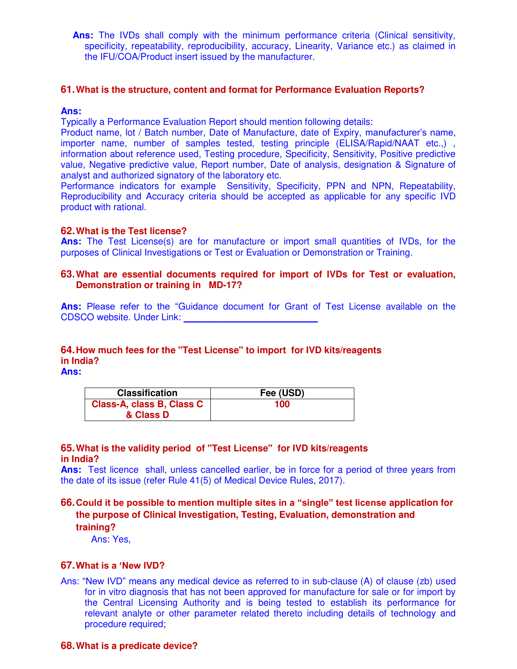**Ans:** The IVDs shall comply with the minimum performance criteria (Clinical sensitivity, specificity, repeatability, reproducibility, accuracy, Linearity, Variance etc.) as claimed in the IFU/COA/Product insert issued by the manufacturer.

#### **61.What is the structure, content and format for Performance Evaluation Reports?**

#### **Ans:**

Typically a Performance Evaluation Report should mention following details:

Product name, lot / Batch number, Date of Manufacture, date of Expiry, manufacturer's name, importer name, number of samples tested, testing principle (ELISA/Rapid/NAAT etc.,), information about reference used, Testing procedure, Specificity, Sensitivity, Positive predictive value, Negative predictive value, Report number, Date of analysis, designation & Signature of analyst and authorized signatory of the laboratory etc.

Performance indicators for example Sensitivity, Specificity, PPN and NPN, Repeatability, Reproducibility and Accuracy criteria should be accepted as applicable for any specific IVD product with rational.

#### **62.What is the Test license?**

Ans: The Test License(s) are for manufacture or import small quantities of IVDs, for the purposes of Clinical Investigations or Test or Evaluation or Demonstration or Training.

#### **63.What are essential documents required for import of IVDs for Test or evaluation, Demonstration or training in MD-17?**

Ans: Please refer to the "Guidance document for Grant of Test License available on the CDSCO website. Under Link:

#### **64.How much fees for the "Test License" to import for IVD kits/reagents in India?**

**Ans:**

| <b>Classification</b>     | Fee (USD) |
|---------------------------|-----------|
| Class-A, class B, Class C | 100       |
| & Class D                 |           |

#### **65.What is the validity period of "Test License" for IVD kits/reagents in India?**

**Ans:** Test licence shall, unless cancelled earlier, be in force for a period of three years from the date of its issue (refer Rule 41(5) of Medical Device Rules, 2017).

**66.Could it be possible to mention multiple sites in a "single" test license application for the purpose of Clinical Investigation, Testing, Evaluation, demonstration and training?**

Ans: Yes,

#### **67.What is a "New IVD?**

Ans: "New IVD" means any medical device as referred to in sub-clause (A) of clause (zb) used for in vitro diagnosis that has not been approved for manufacture for sale or for import by the Central Licensing Authority and is being tested to establish its performance for relevant analyte or other parameter related thereto including details of technology and procedure required;

#### **68.What is a predicate device?**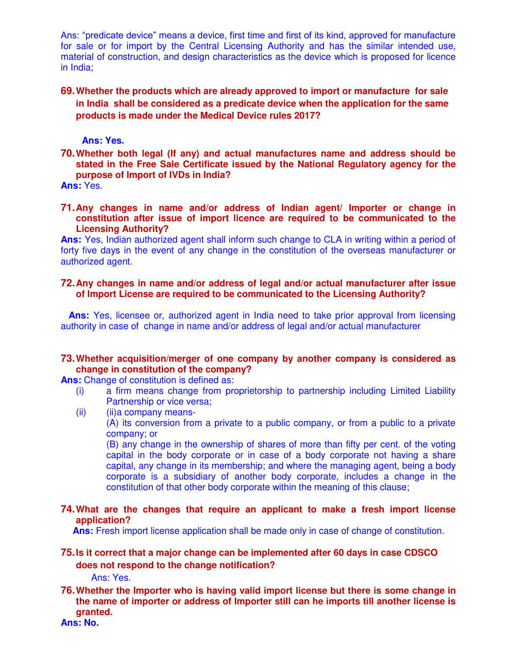Ans: "predicate device" means a device, first time and first of its kind, approved for manufacture for sale or for import by the Central Licensing Authority and has the similar intended use, material of construction, and design characteristics as the device which is proposed for licence in India;

#### **69.Whether the products which are already approved to import or manufacture for sale in India shall be considered as a predicate device when the application for the same products is made under the Medical Device rules 2017?**

#### **Ans: Yes.**

**70.Whether both legal (If any) and actual manufactures name and address should be stated in the Free Sale Certificate issued by the National Regulatory agency for the purpose of Import of IVDs in India?** 

**Ans:** Yes.

**71.Any changes in name and/or address of Indian agent/ Importer or change in constitution after issue of import licence are required to be communicated to the Licensing Authority?** 

**Ans:** Yes, Indian authorized agent shall inform such change to CLA in writing within a period of forty five days in the event of any change in the constitution of the overseas manufacturer or authorized agent.

#### **72.Any changes in name and/or address of legal and/or actual manufacturer after issue of Import License are required to be communicated to the Licensing Authority?**

Ans: Yes, licensee or, authorized agent in India need to take prior approval from licensing authority in case of change in name and/or address of legal and/or actual manufacturer

#### **73.Whether acquisition/merger of one company by another company is considered as change in constitution of the company?**

**Ans:** Change of constitution is defined as:

- (i) a firm means change from proprietorship to partnership including Limited Liability Partnership or vice versa;
- (ii) (ii)a company means-

(A) its conversion from a private to a public company, or from a public to a private company; or

(B) any change in the ownership of shares of more than fifty per cent. of the voting capital in the body corporate or in case of a body corporate not having a share capital, any change in its membership; and where the managing agent, being a body corporate is a subsidiary of another body corporate, includes a change in the constitution of that other body corporate within the meaning of this clause;

#### **74.What are the changes that require an applicant to make a fresh import license application?**

Ans: Fresh import license application shall be made only in case of change of constitution.

#### **75.Is it correct that a major change can be implemented after 60 days in case CDSCO does not respond to the change notification?**

Ans: Yes.

**76.Whether the Importer who is having valid import license but there is some change in the name of importer or address of Importer still can he imports till another license is granted.** 

**Ans: No.**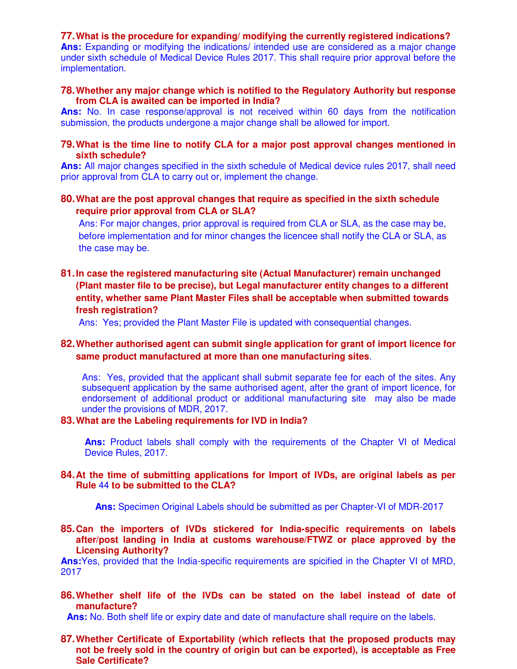#### **77.What is the procedure for expanding/ modifying the currently registered indications?**

Ans: Expanding or modifying the indications/ intended use are considered as a major change under sixth schedule of Medical Device Rules 2017. This shall require prior approval before the implementation.

#### **78.Whether any major change which is notified to the Regulatory Authority but response from CLA is awaited can be imported in India?**

**Ans:** No. In case response/approval is not received within 60 days from the notification submission, the products undergone a major change shall be allowed for import.

#### **79.What is the time line to notify CLA for a major post approval changes mentioned in sixth schedule?**

**Ans:** All major changes specified in the sixth schedule of Medical device rules 2017, shall need prior approval from CLA to carry out or, implement the change.

#### **80.What are the post approval changes that require as specified in the sixth schedule require prior approval from CLA or SLA?**

Ans: For major changes, prior approval is required from CLA or SLA, as the case may be, before implementation and for minor changes the licencee shall notify the CLA or SLA, as the case may be.

#### **81.In case the registered manufacturing site (Actual Manufacturer) remain unchanged (Plant master file to be precise), but Legal manufacturer entity changes to a different entity, whether same Plant Master Files shall be acceptable when submitted towards fresh registration?**

Ans: Yes; provided the Plant Master File is updated with consequential changes.

#### **82.Whether authorised agent can submit single application for grant of import licence for same product manufactured at more than one manufacturing sites**.

Ans: Yes, provided that the applicant shall submit separate fee for each of the sites. Any subsequent application by the same authorised agent, after the grant of import licence, for endorsement of additional product or additional manufacturing site may also be made under the provisions of MDR, 2017.

#### **83.What are the Labeling requirements for IVD in India?**

**Ans:** Product labels shall comply with the requirements of the Chapter VI of Medical Device Rules, 2017.

#### **84.At the time of submitting applications for Import of IVDs, are original labels as per Rule** 44 **to be submitted to the CLA?**

 **Ans:** Specimen Original Labels should be submitted as per Chapter-VI of MDR-2017

**85.Can the importers of IVDs stickered for India-specific requirements on labels after/post landing in India at customs warehouse/FTWZ or place approved by the Licensing Authority?** 

**Ans:**Yes, provided that the India-specific requirements are spicified in the Chapter VI of MRD, 2017

**86.Whether shelf life of the IVDs can be stated on the label instead of date of manufacture?** 

**Ans:** No. Both shelf life or expiry date and date of manufacture shall require on the labels.

#### **87.Whether Certificate of Exportability (which reflects that the proposed products may not be freely sold in the country of origin but can be exported), is acceptable as Free Sale Certificate?**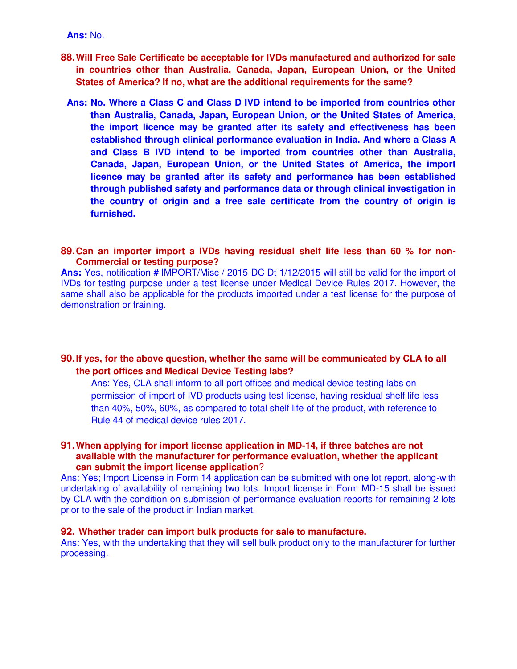- **88.Will Free Sale Certificate be acceptable for IVDs manufactured and authorized for sale in countries other than Australia, Canada, Japan, European Union, or the United States of America? If no, what are the additional requirements for the same?** 
	- **Ans: No. Where a Class C and Class D IVD intend to be imported from countries other than Australia, Canada, Japan, European Union, or the United States of America, the import licence may be granted after its safety and effectiveness has been established through clinical performance evaluation in India. And where a Class A and Class B IVD intend to be imported from countries other than Australia, Canada, Japan, European Union, or the United States of America, the import licence may be granted after its safety and performance has been established through published safety and performance data or through clinical investigation in the country of origin and a free sale certificate from the country of origin is furnished.**

#### **89.Can an importer import a IVDs having residual shelf life less than 60 % for non-Commercial or testing purpose?**

**Ans:** Yes, notification # IMPORT/Misc / 2015-DC Dt 1/12/2015 will still be valid for the import of IVDs for testing purpose under a test license under Medical Device Rules 2017. However, the same shall also be applicable for the products imported under a test license for the purpose of demonstration or training.

#### **90.If yes, for the above question, whether the same will be communicated by CLA to all the port offices and Medical Device Testing labs?**

Ans: Yes, CLA shall inform to all port offices and medical device testing labs on permission of import of IVD products using test license, having residual shelf life less than 40%, 50%, 60%, as compared to total shelf life of the product, with reference to Rule 44 of medical device rules 2017.

#### **91.When applying for import license application in MD-14, if three batches are not available with the manufacturer for performance evaluation, whether the applicant can submit the import license application**?

Ans: Yes; Import License in Form 14 application can be submitted with one lot report, along-with undertaking of availability of remaining two lots. Import license in Form MD-15 shall be issued by CLA with the condition on submission of performance evaluation reports for remaining 2 lots prior to the sale of the product in Indian market.

#### **92. Whether trader can import bulk products for sale to manufacture.**

Ans: Yes, with the undertaking that they will sell bulk product only to the manufacturer for further processing.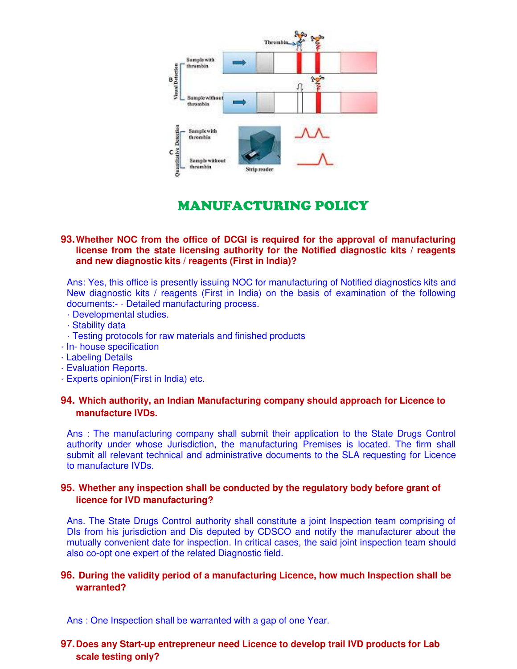

### MANUFACTURING POLICY

#### **93.Whether NOC from the office of DCGI is required for the approval of manufacturing license from the state licensing authority for the Notified diagnostic kits / reagents and new diagnostic kits / reagents (First in India)?**

Ans: Yes, this office is presently issuing NOC for manufacturing of Notified diagnostics kits and New diagnostic kits / reagents (First in India) on the basis of examination of the following documents:- · Detailed manufacturing process.

- · Developmental studies.
- · Stability data
- · Testing protocols for raw materials and finished products
- · In- house specification
- · Labeling Details
- · Evaluation Reports.
- · Experts opinion(First in India) etc.

#### **94. Which authority, an Indian Manufacturing company should approach for Licence to manufacture IVDs.**

Ans : The manufacturing company shall submit their application to the State Drugs Control authority under whose Jurisdiction, the manufacturing Premises is located. The firm shall submit all relevant technical and administrative documents to the SLA requesting for Licence to manufacture IVDs.

#### **95. Whether any inspection shall be conducted by the regulatory body before grant of licence for IVD manufacturing?**

Ans. The State Drugs Control authority shall constitute a joint Inspection team comprising of DIs from his jurisdiction and Dis deputed by CDSCO and notify the manufacturer about the mutually convenient date for inspection. In critical cases, the said joint inspection team should also co-opt one expert of the related Diagnostic field.

#### **96. During the validity period of a manufacturing Licence, how much Inspection shall be warranted?**

Ans : One Inspection shall be warranted with a gap of one Year.

#### **97.Does any Start-up entrepreneur need Licence to develop trail IVD products for Lab scale testing only?**